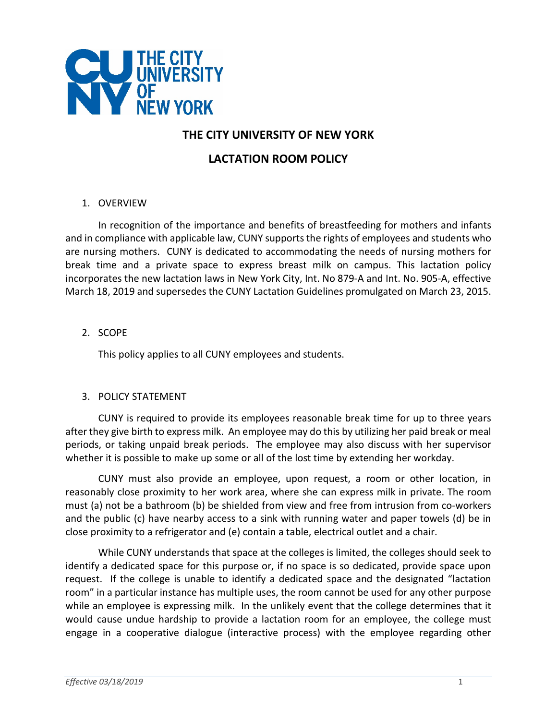

# **THE CITY UNIVERSITY OF NEW YORK**

# **LACTATION ROOM POLICY**

#### 1. OVERVIEW

In recognition of the importance and benefits of breastfeeding for mothers and infants and in compliance with applicable law, CUNY supports the rights of employees and students who are nursing mothers. CUNY is dedicated to accommodating the needs of nursing mothers for break time and a private space to express breast milk on campus. This lactation policy incorporates the new lactation laws in New York City, Int. No 879-A and Int. No. 905-A, effective March 18, 2019 and supersedes the CUNY Lactation Guidelines promulgated on March 23, 2015.

## 2. SCOPE

This policy applies to all CUNY employees and students.

## 3. POLICY STATEMENT

CUNY is required to provide its employees reasonable break time for up to three years after they give birth to express milk. An employee may do this by utilizing her paid break or meal periods, or taking unpaid break periods. The employee may also discuss with her supervisor whether it is possible to make up some or all of the lost time by extending her workday.

CUNY must also provide an employee, upon request, a room or other location, in reasonably close proximity to her work area, where she can express milk in private. The room must (a) not be a bathroom (b) be shielded from view and free from intrusion from co-workers and the public (c) have nearby access to a sink with running water and paper towels (d) be in close proximity to a refrigerator and (e) contain a table, electrical outlet and a chair.

While CUNY understands that space at the colleges is limited, the colleges should seek to identify a dedicated space for this purpose or, if no space is so dedicated, provide space upon request. If the college is unable to identify a dedicated space and the designated "lactation room" in a particular instance has multiple uses, the room cannot be used for any other purpose while an employee is expressing milk. In the unlikely event that the college determines that it would cause undue hardship to provide a lactation room for an employee, the college must engage in a cooperative dialogue (interactive process) with the employee regarding other